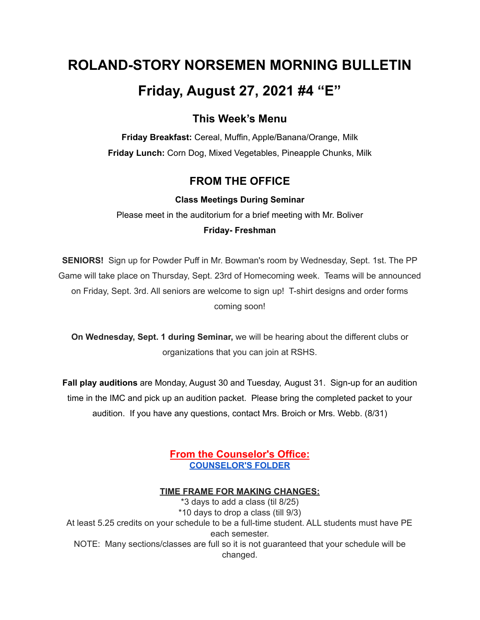# **ROLAND-STORY NORSEMEN MORNING BULLETIN Friday, August 27, 2021 #4 "E"**

# **This Week's Menu**

**Friday Breakfast:** Cereal, Muffin, Apple/Banana/Orange, Milk **Friday Lunch:** Corn Dog, Mixed Vegetables, Pineapple Chunks, Milk

# **FROM THE OFFICE**

#### **Class Meetings During Seminar**

Please meet in the auditorium for a brief meeting with Mr. Boliver **Friday- Freshman**

**SENIORS!** Sign up for Powder Puff in Mr. Bowman's room by Wednesday, Sept. 1st. The PP Game will take place on Thursday, Sept. 23rd of Homecoming week. Teams will be announced on Friday, Sept. 3rd. All seniors are welcome to sign up! T-shirt designs and order forms coming soon!

**On Wednesday, Sept. 1 during Seminar,** we will be hearing about the different clubs or organizations that you can join at RSHS.

**Fall play auditions** are Monday, August 30 and Tuesday, August 31. Sign-up for an audition time in the IMC and pick up an audition packet. Please bring the completed packet to your audition. If you have any questions, contact Mrs. Broich or Mrs. Webb. (8/31)

# **From the Counselor's Office: [COUNSELOR'S](https://docs.google.com/document/d/1vmwczNPbDzXe9vFaG5LJMQ7NYDv-i4oQJHybqA65TUc/edit?usp=sharing) FOLDER**

#### **TIME FRAME FOR MAKING CHANGES:**

\*3 days to add a class (til 8/25) \*10 days to drop a class (till 9/3) At least 5.25 credits on your schedule to be a full-time student. ALL students must have PE each semester. NOTE: Many sections/classes are full so it is not guaranteed that your schedule will be changed.